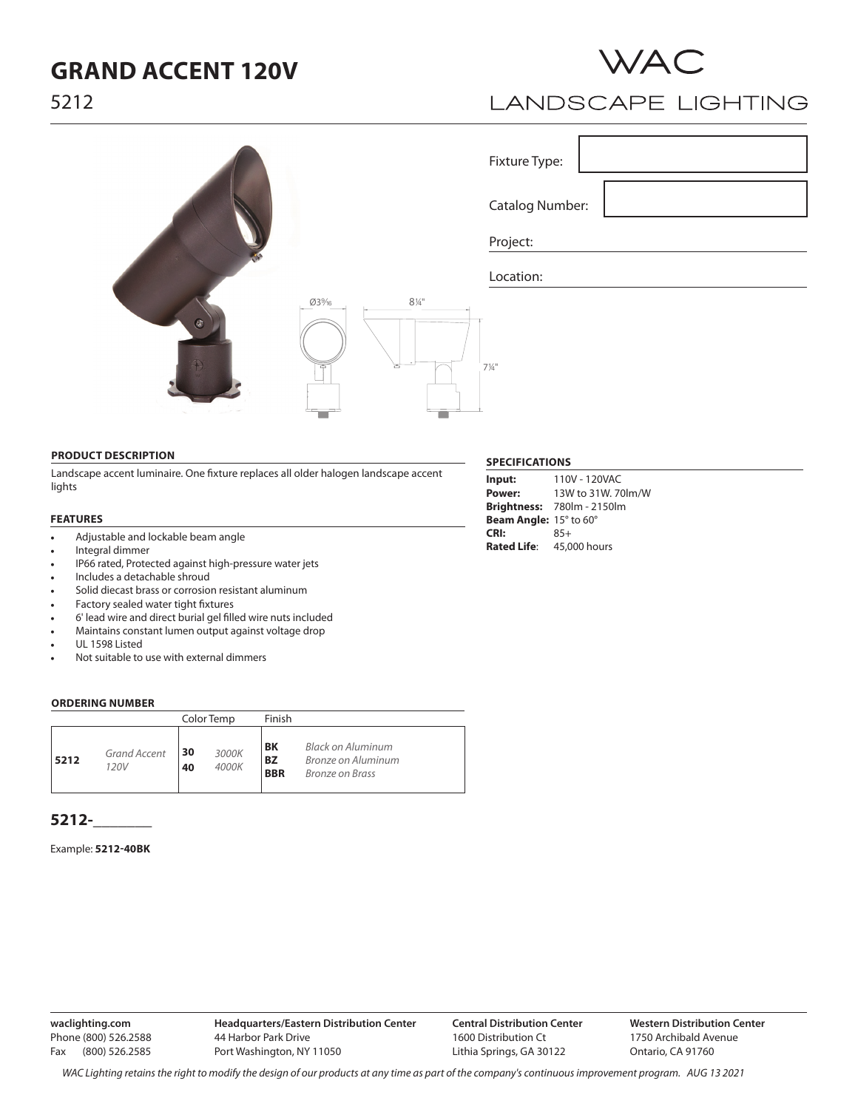## **GRAND ACCENT 120V**



## LANDSCAPE LIGHTING

|                                 |                        | Fixture Type:    |  |
|---------------------------------|------------------------|------------------|--|
|                                 |                        | Catalog Number:  |  |
|                                 |                        | Project:         |  |
|                                 |                        | Location:        |  |
| $^{\circledR}$<br>$\mathcal{L}$ | $8\,\%$ "<br>Ø3%6<br>ਤ | $7\frac{1}{4}$ " |  |

#### **PRODUCT DESCRIPTION**

Landscape accent luminaire. One fixture replaces all older halogen landscape accent lights

#### **FEATURES**

- Adjustable and lockable beam angle
- Integral dimmer
- IP66 rated, Protected against high-pressure water jets
- Includes a detachable shroud
- Solid diecast brass or corrosion resistant aluminum
- Factory sealed water tight fixtures
- 6' lead wire and direct burial gel filled wire nuts included
- Maintains constant lumen output against voltage drop
- UL 1598 Listed
- Not suitable to use with external dimmers

#### **ORDERING NUMBER**

|                                     |          | Color Temp     | Finish                        |                                                            |
|-------------------------------------|----------|----------------|-------------------------------|------------------------------------------------------------|
| <b>Grand Accent</b><br>5212<br>120V | 30<br>40 | 3000K<br>4000K | BK<br><b>BZ</b><br><b>BBR</b> | Black on Aluminum<br>Bronze on Aluminum<br>Bronze on Brass |

### **5212-\_\_\_\_\_\_\_**

#### Example: **5212-40BK**

**waclighting.com** Phone (800) 526.2588 Fax (800) 526.2585

**Central Distribution Center** 1600 Distribution Ct Lithia Springs, GA 30122

**Western Distribution Center**  1750 Archibald Avenue Ontario, CA 91760

*WAC Lighting retains the right to modify the design of our products at any time as part of the company's continuous improvement program. Aug 13 2021*

#### **SPECIFICATIONS**

| Input:                 | 110V - 120VAC                     |
|------------------------|-----------------------------------|
| Power:                 | 13W to 31W, 70lm/W                |
|                        | <b>Brightness: 780lm - 2150lm</b> |
| Beam Angle: 15° to 60° |                                   |
| CRI:                   | $85+$                             |
| <b>Rated Life:</b>     | 45,000 hours                      |